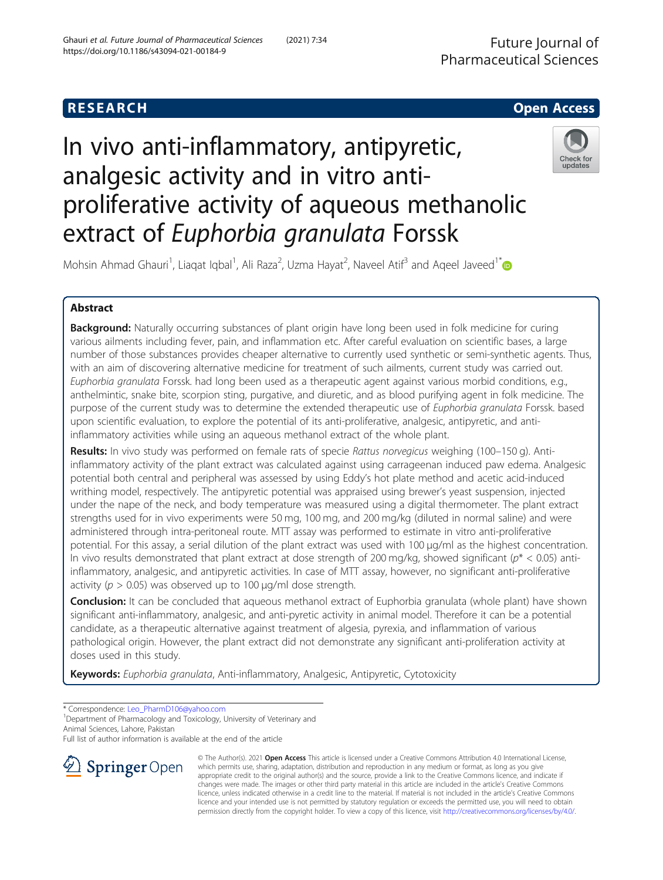# **RESEARCH CHE Open Access**

# In vivo anti-inflammatory, antipyretic, analgesic activity and in vitro antiproliferative activity of aqueous methanolic extract of Euphorbia granulata Forssk



Mohsin Ahmad Ghauri<sup>1</sup>, Liaqat Iqbal<sup>1</sup>, Ali Raza<sup>2</sup>, Uzma Hayat<sup>2</sup>, Naveel Atif<sup>3</sup> and Aqeel Javeed<sup>1[\\*](http://orcid.org/0000-0002-7452-7185)</sup>

# Abstract

**Background:** Naturally occurring substances of plant origin have long been used in folk medicine for curing various ailments including fever, pain, and inflammation etc. After careful evaluation on scientific bases, a large number of those substances provides cheaper alternative to currently used synthetic or semi-synthetic agents. Thus, with an aim of discovering alternative medicine for treatment of such ailments, current study was carried out. Euphorbia granulata Forssk. had long been used as a therapeutic agent against various morbid conditions, e.g., anthelmintic, snake bite, scorpion sting, purgative, and diuretic, and as blood purifying agent in folk medicine. The purpose of the current study was to determine the extended therapeutic use of Euphorbia granulata Forssk. based upon scientific evaluation, to explore the potential of its anti-proliferative, analgesic, antipyretic, and antiinflammatory activities while using an aqueous methanol extract of the whole plant.

Results: In vivo study was performed on female rats of specie Rattus norvegicus weighing (100–150 g). Antiinflammatory activity of the plant extract was calculated against using carrageenan induced paw edema. Analgesic potential both central and peripheral was assessed by using Eddy's hot plate method and acetic acid-induced writhing model, respectively. The antipyretic potential was appraised using brewer's yeast suspension, injected under the nape of the neck, and body temperature was measured using a digital thermometer. The plant extract strengths used for in vivo experiments were 50 mg, 100 mg, and 200 mg/kg (diluted in normal saline) and were administered through intra-peritoneal route. MTT assay was performed to estimate in vitro anti-proliferative potential. For this assay, a serial dilution of the plant extract was used with 100 μg/ml as the highest concentration. In vivo results demonstrated that plant extract at dose strength of 200 mg/kg, showed significant ( $p^*$  < 0.05) antiinflammatory, analgesic, and antipyretic activities. In case of MTT assay, however, no significant anti-proliferative activity ( $p > 0.05$ ) was observed up to 100  $\mu$ g/ml dose strength.

Conclusion: It can be concluded that aqueous methanol extract of Euphorbia granulata (whole plant) have shown significant anti-inflammatory, analgesic, and anti-pyretic activity in animal model. Therefore it can be a potential candidate, as a therapeutic alternative against treatment of algesia, pyrexia, and inflammation of various pathological origin. However, the plant extract did not demonstrate any significant anti-proliferation activity at doses used in this study.

Keywords: Euphorbia granulata, Anti-inflammatory, Analgesic, Antipyretic, Cytotoxicity

\* Correspondence: [Leo\\_PharmD106@yahoo.com](mailto:Leo_PharmD106@yahoo.com) <sup>1</sup>

<sup>1</sup> Department of Pharmacology and Toxicology, University of Veterinary and Animal Sciences, Lahore, Pakistan

Full list of author information is available at the end of the article



© The Author(s). 2021 Open Access This article is licensed under a Creative Commons Attribution 4.0 International License, which permits use, sharing, adaptation, distribution and reproduction in any medium or format, as long as you give appropriate credit to the original author(s) and the source, provide a link to the Creative Commons licence, and indicate if changes were made. The images or other third party material in this article are included in the article's Creative Commons licence, unless indicated otherwise in a credit line to the material. If material is not included in the article's Creative Commons licence and your intended use is not permitted by statutory regulation or exceeds the permitted use, you will need to obtain permission directly from the copyright holder. To view a copy of this licence, visit <http://creativecommons.org/licenses/by/4.0/>.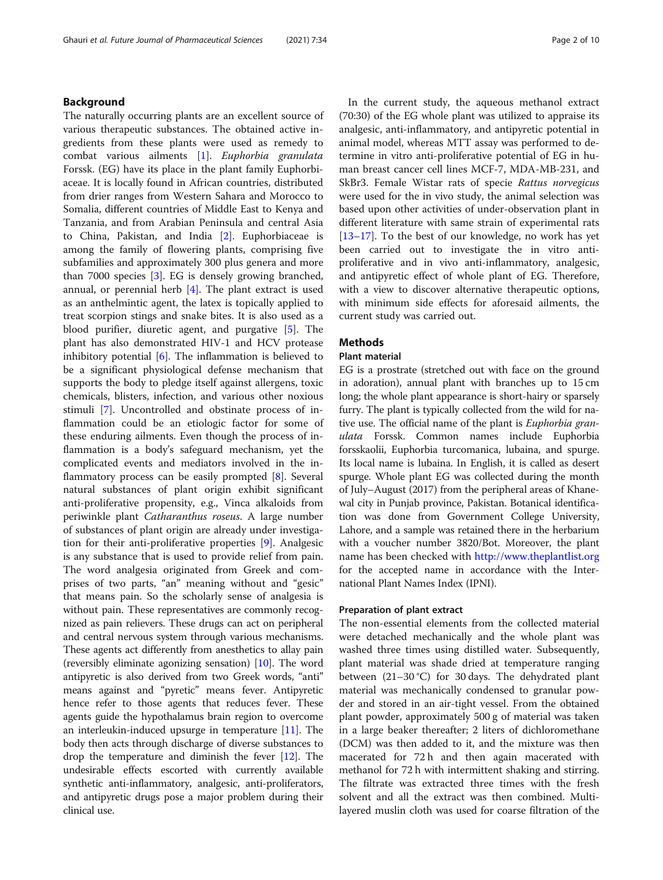#### Background

The naturally occurring plants are an excellent source of various therapeutic substances. The obtained active ingredients from these plants were used as remedy to combat various ailments [\[1](#page-8-0)]. Euphorbia granulata Forssk. (EG) have its place in the plant family Euphorbiaceae. It is locally found in African countries, distributed from drier ranges from Western Sahara and Morocco to Somalia, different countries of Middle East to Kenya and Tanzania, and from Arabian Peninsula and central Asia to China, Pakistan, and India [[2\]](#page-8-0). Euphorbiaceae is among the family of flowering plants, comprising five subfamilies and approximately 300 plus genera and more than 7000 species [\[3](#page-8-0)]. EG is densely growing branched, annual, or perennial herb [[4](#page-8-0)]. The plant extract is used as an anthelmintic agent, the latex is topically applied to treat scorpion stings and snake bites. It is also used as a blood purifier, diuretic agent, and purgative [\[5](#page-8-0)]. The plant has also demonstrated HIV-1 and HCV protease inhibitory potential  $[6]$  $[6]$ . The inflammation is believed to be a significant physiological defense mechanism that supports the body to pledge itself against allergens, toxic chemicals, blisters, infection, and various other noxious stimuli [\[7](#page-8-0)]. Uncontrolled and obstinate process of inflammation could be an etiologic factor for some of these enduring ailments. Even though the process of inflammation is a body's safeguard mechanism, yet the complicated events and mediators involved in the inflammatory process can be easily prompted [\[8](#page-8-0)]. Several natural substances of plant origin exhibit significant anti-proliferative propensity, e.g., Vinca alkaloids from periwinkle plant Catharanthus roseus. A large number of substances of plant origin are already under investigation for their anti-proliferative properties [\[9\]](#page-8-0). Analgesic is any substance that is used to provide relief from pain. The word analgesia originated from Greek and comprises of two parts, "an" meaning without and "gesic" that means pain. So the scholarly sense of analgesia is without pain. These representatives are commonly recognized as pain relievers. These drugs can act on peripheral and central nervous system through various mechanisms. These agents act differently from anesthetics to allay pain (reversibly eliminate agonizing sensation) [[10](#page-8-0)]. The word antipyretic is also derived from two Greek words, "anti" means against and "pyretic" means fever. Antipyretic hence refer to those agents that reduces fever. These agents guide the hypothalamus brain region to overcome an interleukin-induced upsurge in temperature [[11](#page-8-0)]. The body then acts through discharge of diverse substances to drop the temperature and diminish the fever [\[12\]](#page-8-0). The undesirable effects escorted with currently available synthetic anti-inflammatory, analgesic, anti-proliferators, and antipyretic drugs pose a major problem during their clinical use.

In the current study, the aqueous methanol extract (70:30) of the EG whole plant was utilized to appraise its analgesic, anti-inflammatory, and antipyretic potential in animal model, whereas MTT assay was performed to determine in vitro anti-proliferative potential of EG in human breast cancer cell lines MCF-7, MDA-MB-231, and SkBr3. Female Wistar rats of specie Rattus norvegicus were used for the in vivo study, the animal selection was based upon other activities of under-observation plant in different literature with same strain of experimental rats [[13](#page-8-0)–[17](#page-8-0)]. To the best of our knowledge, no work has yet been carried out to investigate the in vitro antiproliferative and in vivo anti-inflammatory, analgesic, and antipyretic effect of whole plant of EG. Therefore, with a view to discover alternative therapeutic options, with minimum side effects for aforesaid ailments, the current study was carried out.

#### Methods

#### Plant material

EG is a prostrate (stretched out with face on the ground in adoration), annual plant with branches up to 15 cm long; the whole plant appearance is short-hairy or sparsely furry. The plant is typically collected from the wild for native use. The official name of the plant is Euphorbia granulata Forssk. Common names include Euphorbia forsskaolii, Euphorbia turcomanica, lubaina, and spurge. Its local name is lubaina. In English, it is called as desert spurge. Whole plant EG was collected during the month of July–August (2017) from the peripheral areas of Khanewal city in Punjab province, Pakistan. Botanical identification was done from Government College University, Lahore, and a sample was retained there in the herbarium with a voucher number 3820/Bot. Moreover, the plant name has been checked with <http://www.theplantlist.org> for the accepted name in accordance with the International Plant Names Index (IPNI).

#### Preparation of plant extract

The non-essential elements from the collected material were detached mechanically and the whole plant was washed three times using distilled water. Subsequently, plant material was shade dried at temperature ranging between (21–30 °C) for 30 days. The dehydrated plant material was mechanically condensed to granular powder and stored in an air-tight vessel. From the obtained plant powder, approximately 500 g of material was taken in a large beaker thereafter; 2 liters of dichloromethane (DCM) was then added to it, and the mixture was then macerated for 72 h and then again macerated with methanol for 72 h with intermittent shaking and stirring. The filtrate was extracted three times with the fresh solvent and all the extract was then combined. Multilayered muslin cloth was used for coarse filtration of the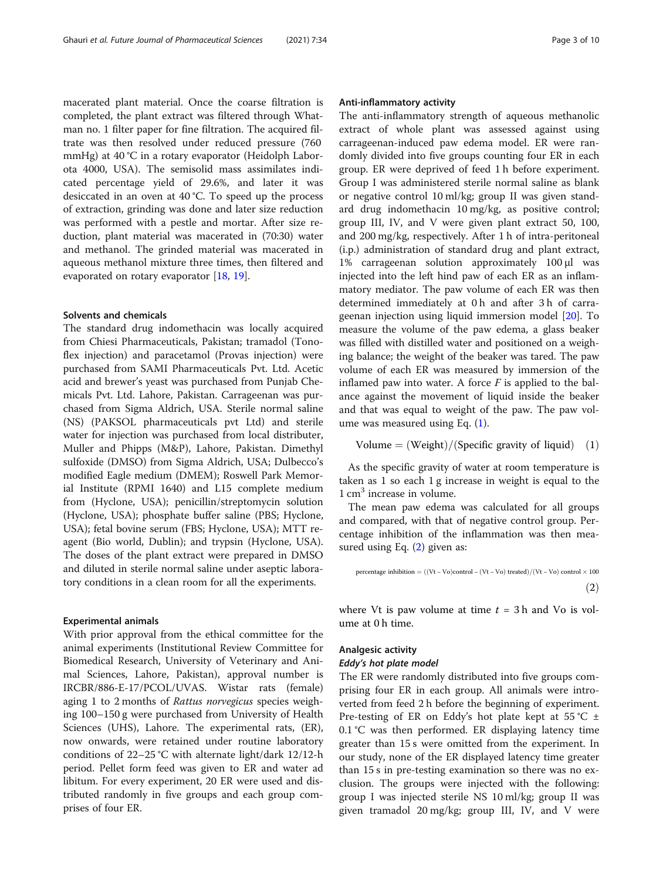macerated plant material. Once the coarse filtration is completed, the plant extract was filtered through Whatman no. 1 filter paper for fine filtration. The acquired filtrate was then resolved under reduced pressure (760 mmHg) at 40 °C in a rotary evaporator (Heidolph Laborota 4000, USA). The semisolid mass assimilates indicated percentage yield of 29.6%, and later it was desiccated in an oven at 40 °C. To speed up the process of extraction, grinding was done and later size reduction was performed with a pestle and mortar. After size reduction, plant material was macerated in (70:30) water and methanol. The grinded material was macerated in aqueous methanol mixture three times, then filtered and evaporated on rotary evaporator [[18,](#page-8-0) [19](#page-8-0)].

#### Solvents and chemicals

The standard drug indomethacin was locally acquired from Chiesi Pharmaceuticals, Pakistan; tramadol (Tonoflex injection) and paracetamol (Provas injection) were purchased from SAMI Pharmaceuticals Pvt. Ltd. Acetic acid and brewer's yeast was purchased from Punjab Chemicals Pvt. Ltd. Lahore, Pakistan. Carrageenan was purchased from Sigma Aldrich, USA. Sterile normal saline (NS) (PAKSOL pharmaceuticals pvt Ltd) and sterile water for injection was purchased from local distributer, Muller and Phipps (M&P), Lahore, Pakistan. Dimethyl sulfoxide (DMSO) from Sigma Aldrich, USA; Dulbecco's modified Eagle medium (DMEM); Roswell Park Memorial Institute (RPMI 1640) and L15 complete medium from (Hyclone, USA); penicillin/streptomycin solution (Hyclone, USA); phosphate buffer saline (PBS; Hyclone, USA); fetal bovine serum (FBS; Hyclone, USA); MTT reagent (Bio world, Dublin); and trypsin (Hyclone, USA). The doses of the plant extract were prepared in DMSO and diluted in sterile normal saline under aseptic laboratory conditions in a clean room for all the experiments.

#### Experimental animals

With prior approval from the ethical committee for the animal experiments (Institutional Review Committee for Biomedical Research, University of Veterinary and Animal Sciences, Lahore, Pakistan), approval number is IRCBR/886-E-17/PCOL/UVAS. Wistar rats (female) aging 1 to 2 months of Rattus norvegicus species weighing 100–150 g were purchased from University of Health Sciences (UHS), Lahore. The experimental rats, (ER), now onwards, were retained under routine laboratory conditions of 22–25 °C with alternate light/dark 12/12-h period. Pellet form feed was given to ER and water ad libitum. For every experiment, 20 ER were used and distributed randomly in five groups and each group comprises of four ER.

#### Anti-inflammatory activity

The anti-inflammatory strength of aqueous methanolic extract of whole plant was assessed against using carrageenan-induced paw edema model. ER were randomly divided into five groups counting four ER in each group. ER were deprived of feed 1 h before experiment. Group I was administered sterile normal saline as blank or negative control 10 ml/kg; group II was given standard drug indomethacin 10 mg/kg, as positive control; group III, IV, and V were given plant extract 50, 100, and 200 mg/kg, respectively. After 1 h of intra-peritoneal (i.p.) administration of standard drug and plant extract, 1% carrageenan solution approximately 100 μl was injected into the left hind paw of each ER as an inflammatory mediator. The paw volume of each ER was then determined immediately at 0 h and after 3 h of carrageenan injection using liquid immersion model [\[20](#page-8-0)]. To measure the volume of the paw edema, a glass beaker was filled with distilled water and positioned on a weighing balance; the weight of the beaker was tared. The paw volume of each ER was measured by immersion of the inflamed paw into water. A force  $F$  is applied to the balance against the movement of liquid inside the beaker and that was equal to weight of the paw. The paw volume was measured using Eq. (1).

Volume = 
$$
(Weight)/(Specific gravity of liquid) (1)
$$

As the specific gravity of water at room temperature is taken as 1 so each 1 g increase in weight is equal to the  $1 \text{ cm}^3$  increase in volume.

The mean paw edema was calculated for all groups and compared, with that of negative control group. Percentage inhibition of the inflammation was then measured using Eq. (2) given as:

$$
percentage inhibition = ((Vt - Vo)control - (Vt - Vo) treated)/(Vt - Vo) control \times 100
$$
\n
$$
(2)
$$

where Vt is paw volume at time  $t = 3$  h and Vo is volume at 0 h time.

#### Analgesic activity

#### Eddy's hot plate model

The ER were randomly distributed into five groups comprising four ER in each group. All animals were introverted from feed 2 h before the beginning of experiment. Pre-testing of ER on Eddy's hot plate kept at  $55^{\circ}$ C  $\pm$  $0.1$  °C was then performed. ER displaying latency time greater than 15 s were omitted from the experiment. In our study, none of the ER displayed latency time greater than 15 s in pre-testing examination so there was no exclusion. The groups were injected with the following: group I was injected sterile NS 10 ml/kg; group II was given tramadol 20 mg/kg; group III, IV, and V were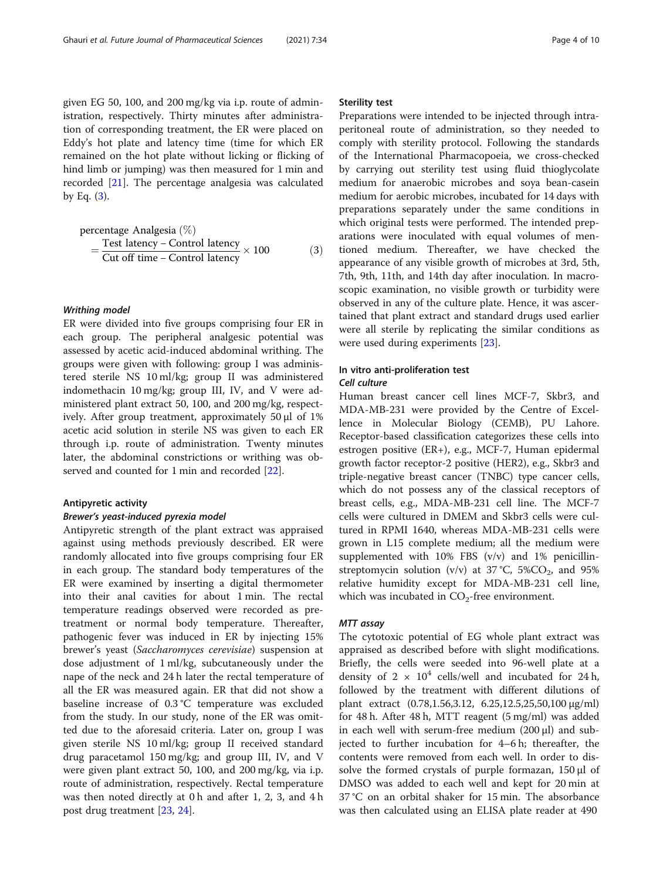given EG 50, 100, and 200 mg/kg via i.p. route of administration, respectively. Thirty minutes after administration of corresponding treatment, the ER were placed on Eddy's hot plate and latency time (time for which ER remained on the hot plate without licking or flicking of hind limb or jumping) was then measured for 1 min and recorded [\[21](#page-8-0)]. The percentage analgesia was calculated by Eq.  $(3)$ .

\n
$$
\text{percentage Analgesia} \, (\%) \\
= \frac{\text{Test latency} - \text{Control latency}}{\text{Cut off time} - \text{Control latency}} \times 100
$$
\n

#### Writhing model

ER were divided into five groups comprising four ER in each group. The peripheral analgesic potential was assessed by acetic acid-induced abdominal writhing. The groups were given with following: group I was administered sterile NS 10 ml/kg; group II was administered indomethacin 10 mg/kg; group III, IV, and V were administered plant extract 50, 100, and 200 mg/kg, respectively. After group treatment, approximately 50 μl of 1% acetic acid solution in sterile NS was given to each ER through i.p. route of administration. Twenty minutes later, the abdominal constrictions or writhing was observed and counted for 1 min and recorded [\[22](#page-8-0)].

#### Antipyretic activity

#### Brewer's yeast-induced pyrexia model

Antipyretic strength of the plant extract was appraised against using methods previously described. ER were randomly allocated into five groups comprising four ER in each group. The standard body temperatures of the ER were examined by inserting a digital thermometer into their anal cavities for about 1 min. The rectal temperature readings observed were recorded as pretreatment or normal body temperature. Thereafter, pathogenic fever was induced in ER by injecting 15% brewer's yeast (Saccharomyces cerevisiae) suspension at dose adjustment of 1 ml/kg, subcutaneously under the nape of the neck and 24 h later the rectal temperature of all the ER was measured again. ER that did not show a baseline increase of 0.3 °C temperature was excluded from the study. In our study, none of the ER was omitted due to the aforesaid criteria. Later on, group I was given sterile NS 10 ml/kg; group II received standard drug paracetamol 150 mg/kg; and group III, IV, and V were given plant extract 50, 100, and 200 mg/kg, via i.p. route of administration, respectively. Rectal temperature was then noted directly at 0 h and after 1, 2, 3, and 4 h post drug treatment [[23,](#page-8-0) [24\]](#page-8-0).

#### Sterility test

Preparations were intended to be injected through intraperitoneal route of administration, so they needed to comply with sterility protocol. Following the standards of the International Pharmacopoeia, we cross-checked by carrying out sterility test using fluid thioglycolate medium for anaerobic microbes and soya bean-casein medium for aerobic microbes, incubated for 14 days with preparations separately under the same conditions in which original tests were performed. The intended preparations were inoculated with equal volumes of mentioned medium. Thereafter, we have checked the appearance of any visible growth of microbes at 3rd, 5th, 7th, 9th, 11th, and 14th day after inoculation. In macroscopic examination, no visible growth or turbidity were observed in any of the culture plate. Hence, it was ascertained that plant extract and standard drugs used earlier were all sterile by replicating the similar conditions as were used during experiments [[23](#page-8-0)].

# In vitro anti-proliferation test

#### Cell culture

Human breast cancer cell lines MCF-7, Skbr3, and MDA-MB-231 were provided by the Centre of Excellence in Molecular Biology (CEMB), PU Lahore. Receptor-based classification categorizes these cells into estrogen positive (ER+), e.g., MCF-7, Human epidermal growth factor receptor-2 positive (HER2), e.g., Skbr3 and triple-negative breast cancer (TNBC) type cancer cells, which do not possess any of the classical receptors of breast cells, e.g., MDA-MB-231 cell line. The MCF-7 cells were cultured in DMEM and Skbr3 cells were cultured in RPMI 1640, whereas MDA-MB-231 cells were grown in L15 complete medium; all the medium were supplemented with  $10\%$  FBS (v/v) and  $1\%$  penicillinstreptomycin solution (v/v) at 37 °C, 5%CO<sub>2</sub>, and 95% relative humidity except for MDA-MB-231 cell line, which was incubated in  $CO<sub>2</sub>$ -free environment.

#### MTT assay

The cytotoxic potential of EG whole plant extract was appraised as described before with slight modifications. Briefly, the cells were seeded into 96-well plate at a density of  $2 \times 10^4$  cells/well and incubated for 24 h, followed by the treatment with different dilutions of plant extract (0.78,1.56,3.12, 6.25,12.5,25,50,100 µg/ml) for 48 h. After 48 h, MTT reagent (5 mg/ml) was added in each well with serum-free medium (200 μl) and subjected to further incubation for 4–6 h; thereafter, the contents were removed from each well. In order to dissolve the formed crystals of purple formazan, 150 μl of DMSO was added to each well and kept for 20 min at 37 °C on an orbital shaker for 15 min. The absorbance was then calculated using an ELISA plate reader at 490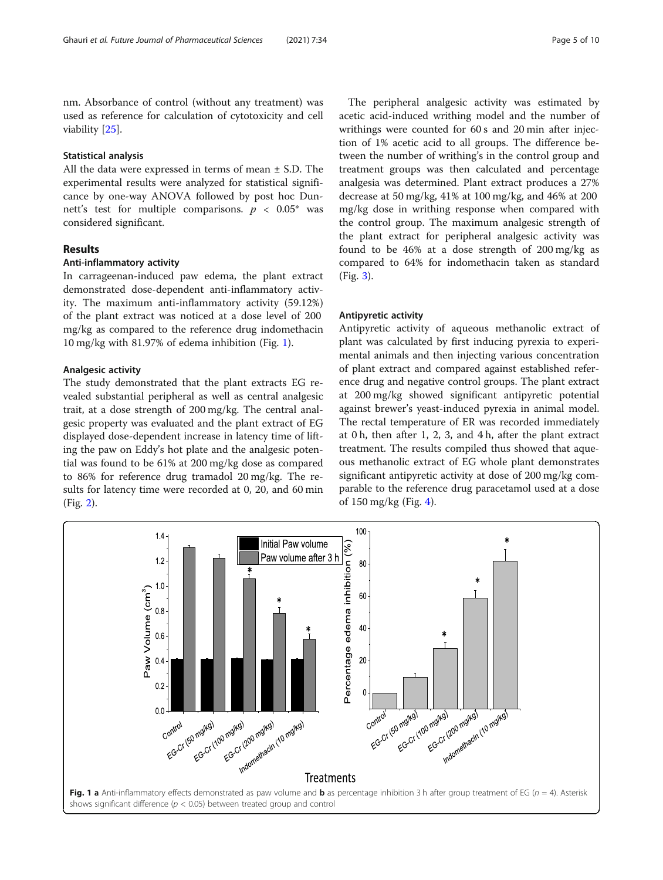nm. Absorbance of control (without any treatment) was used as reference for calculation of cytotoxicity and cell viability [[25](#page-8-0)].

#### Statistical analysis

All the data were expressed in terms of mean ± S.D. The experimental results were analyzed for statistical significance by one-way ANOVA followed by post hoc Dunnett's test for multiple comparisons.  $p < 0.05^*$  was considered significant.

#### Results

#### Anti-inflammatory activity

In carrageenan-induced paw edema, the plant extract demonstrated dose-dependent anti-inflammatory activity. The maximum anti-inflammatory activity (59.12%) of the plant extract was noticed at a dose level of 200 mg/kg as compared to the reference drug indomethacin 10 mg/kg with 81.97% of edema inhibition (Fig. 1).

#### Analgesic activity

The study demonstrated that the plant extracts EG revealed substantial peripheral as well as central analgesic trait, at a dose strength of 200 mg/kg. The central analgesic property was evaluated and the plant extract of EG displayed dose-dependent increase in latency time of lifting the paw on Eddy's hot plate and the analgesic potential was found to be 61% at 200 mg/kg dose as compared to 86% for reference drug tramadol 20 mg/kg. The results for latency time were recorded at 0, 20, and 60 min (Fig. [2](#page-5-0)).

The peripheral analgesic activity was estimated by acetic acid-induced writhing model and the number of writhings were counted for 60 s and 20 min after injection of 1% acetic acid to all groups. The difference between the number of writhing's in the control group and treatment groups was then calculated and percentage analgesia was determined. Plant extract produces a 27% decrease at 50 mg/kg, 41% at 100 mg/kg, and 46% at 200 mg/kg dose in writhing response when compared with the control group. The maximum analgesic strength of the plant extract for peripheral analgesic activity was found to be 46% at a dose strength of 200 mg/kg as compared to 64% for indomethacin taken as standard (Fig. [3](#page-5-0)).

#### Antipyretic activity

Antipyretic activity of aqueous methanolic extract of plant was calculated by first inducing pyrexia to experimental animals and then injecting various concentration of plant extract and compared against established reference drug and negative control groups. The plant extract at 200 mg/kg showed significant antipyretic potential against brewer's yeast-induced pyrexia in animal model. The rectal temperature of ER was recorded immediately at 0 h, then after 1, 2, 3, and 4 h, after the plant extract treatment. The results compiled thus showed that aqueous methanolic extract of EG whole plant demonstrates significant antipyretic activity at dose of 200 mg/kg comparable to the reference drug paracetamol used at a dose of 150 mg/kg (Fig. [4\)](#page-6-0).

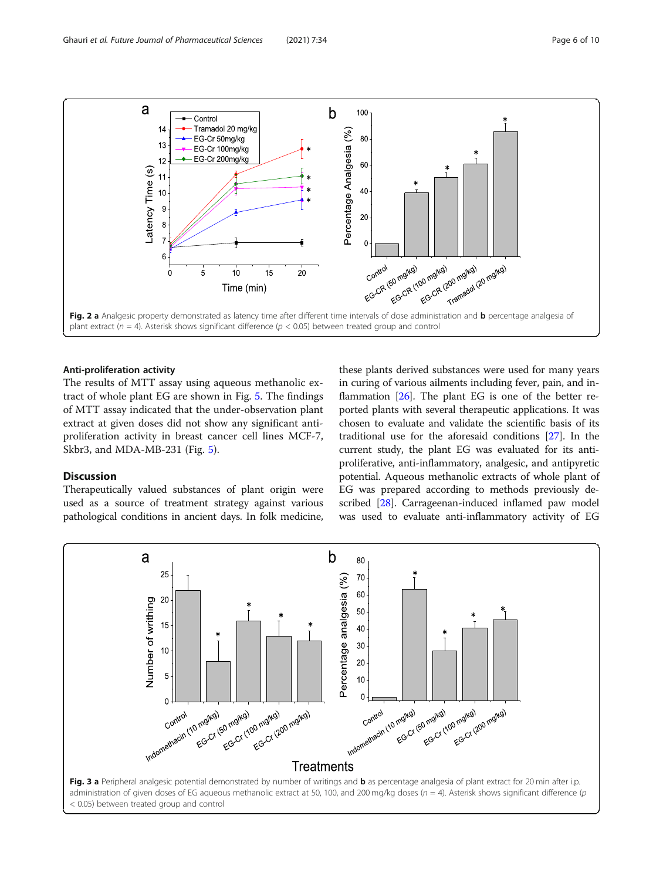<span id="page-5-0"></span>

#### Anti-proliferation activity

The results of MTT assay using aqueous methanolic extract of whole plant EG are shown in Fig. [5.](#page-6-0) The findings of MTT assay indicated that the under-observation plant extract at given doses did not show any significant antiproliferation activity in breast cancer cell lines MCF-7, Skbr3, and MDA-MB-231 (Fig. [5\)](#page-6-0).

### Discussion

Therapeutically valued substances of plant origin were used as a source of treatment strategy against various pathological conditions in ancient days. In folk medicine,

these plants derived substances were used for many years in curing of various ailments including fever, pain, and inflammation [\[26\]](#page-8-0). The plant EG is one of the better reported plants with several therapeutic applications. It was chosen to evaluate and validate the scientific basis of its traditional use for the aforesaid conditions [[27\]](#page-8-0). In the current study, the plant EG was evaluated for its antiproliferative, anti-inflammatory, analgesic, and antipyretic potential. Aqueous methanolic extracts of whole plant of EG was prepared according to methods previously described [\[28](#page-8-0)]. Carrageenan-induced inflamed paw model was used to evaluate anti-inflammatory activity of EG

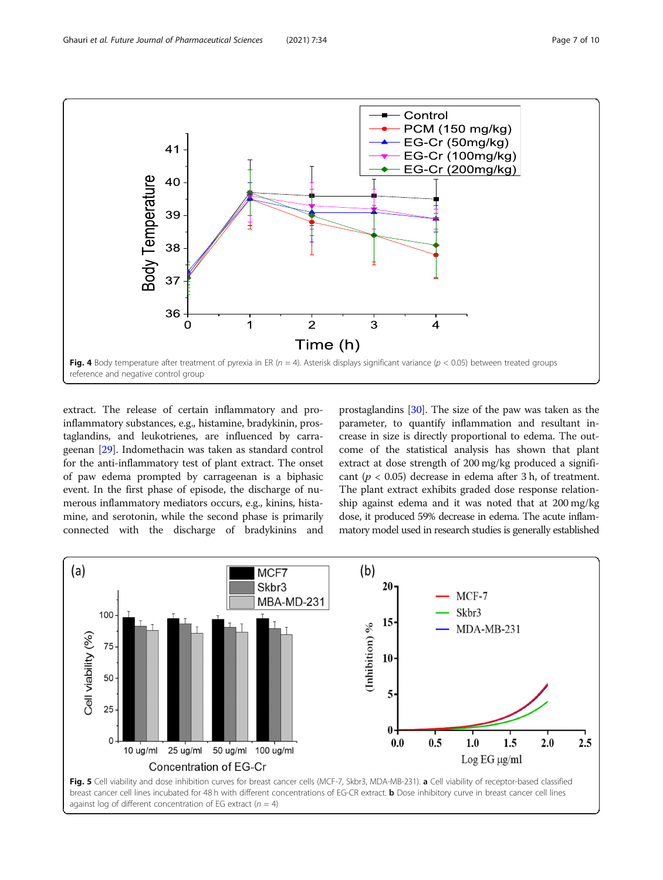<span id="page-6-0"></span>

extract. The release of certain inflammatory and proinflammatory substances, e.g., histamine, bradykinin, prostaglandins, and leukotrienes, are influenced by carrageenan [\[29](#page-9-0)]. Indomethacin was taken as standard control for the anti-inflammatory test of plant extract. The onset of paw edema prompted by carrageenan is a biphasic event. In the first phase of episode, the discharge of numerous inflammatory mediators occurs, e.g., kinins, histamine, and serotonin, while the second phase is primarily connected with the discharge of bradykinins and

prostaglandins [\[30\]](#page-9-0). The size of the paw was taken as the parameter, to quantify inflammation and resultant increase in size is directly proportional to edema. The outcome of the statistical analysis has shown that plant extract at dose strength of 200 mg/kg produced a significant ( $p < 0.05$ ) decrease in edema after 3 h, of treatment. The plant extract exhibits graded dose response relationship against edema and it was noted that at 200 mg/kg dose, it produced 59% decrease in edema. The acute inflammatory model used in research studies is generally established

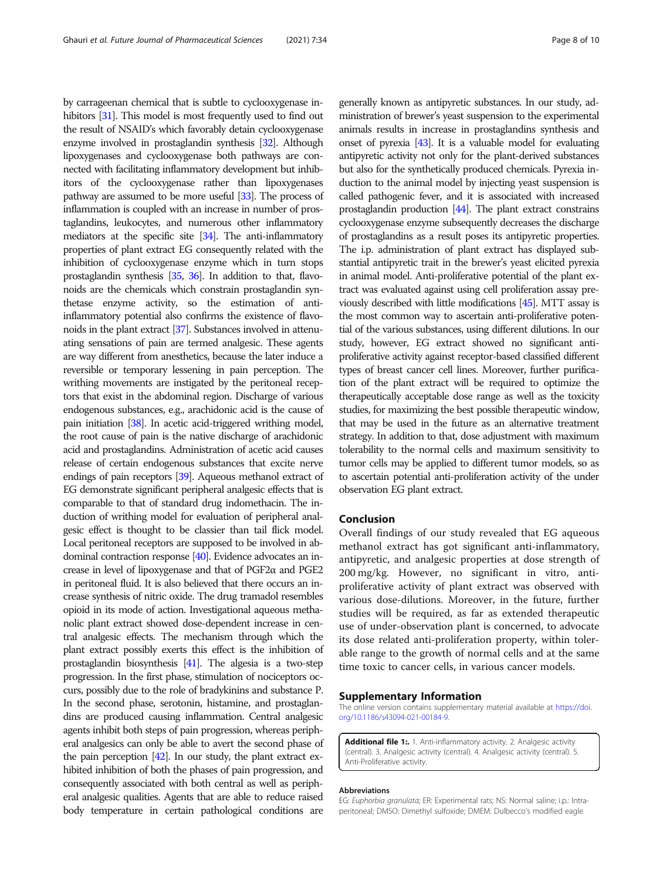by carrageenan chemical that is subtle to cyclooxygenase inhibitors [[31\]](#page-9-0). This model is most frequently used to find out the result of NSAID's which favorably detain cyclooxygenase enzyme involved in prostaglandin synthesis [\[32](#page-9-0)]. Although lipoxygenases and cyclooxygenase both pathways are connected with facilitating inflammatory development but inhibitors of the cyclooxygenase rather than lipoxygenases pathway are assumed to be more useful [\[33](#page-9-0)]. The process of inflammation is coupled with an increase in number of prostaglandins, leukocytes, and numerous other inflammatory mediators at the specific site [\[34](#page-9-0)]. The anti-inflammatory properties of plant extract EG consequently related with the inhibition of cyclooxygenase enzyme which in turn stops prostaglandin synthesis [\[35](#page-9-0), [36\]](#page-9-0). In addition to that, flavonoids are the chemicals which constrain prostaglandin synthetase enzyme activity, so the estimation of antiinflammatory potential also confirms the existence of flavonoids in the plant extract [[37\]](#page-9-0). Substances involved in attenuating sensations of pain are termed analgesic. These agents are way different from anesthetics, because the later induce a reversible or temporary lessening in pain perception. The writhing movements are instigated by the peritoneal receptors that exist in the abdominal region. Discharge of various endogenous substances, e.g., arachidonic acid is the cause of pain initiation [[38\]](#page-9-0). In acetic acid-triggered writhing model, the root cause of pain is the native discharge of arachidonic acid and prostaglandins. Administration of acetic acid causes release of certain endogenous substances that excite nerve endings of pain receptors [\[39\]](#page-9-0). Aqueous methanol extract of EG demonstrate significant peripheral analgesic effects that is comparable to that of standard drug indomethacin. The induction of writhing model for evaluation of peripheral analgesic effect is thought to be classier than tail flick model. Local peritoneal receptors are supposed to be involved in abdominal contraction response [[40\]](#page-9-0). Evidence advocates an increase in level of lipoxygenase and that of PGF2α and PGE2 in peritoneal fluid. It is also believed that there occurs an increase synthesis of nitric oxide. The drug tramadol resembles opioid in its mode of action. Investigational aqueous methanolic plant extract showed dose-dependent increase in central analgesic effects. The mechanism through which the plant extract possibly exerts this effect is the inhibition of prostaglandin biosynthesis [[41\]](#page-9-0). The algesia is a two-step progression. In the first phase, stimulation of nociceptors occurs, possibly due to the role of bradykinins and substance P. In the second phase, serotonin, histamine, and prostaglandins are produced causing inflammation. Central analgesic agents inhibit both steps of pain progression, whereas peripheral analgesics can only be able to avert the second phase of the pain perception [\[42](#page-9-0)]. In our study, the plant extract exhibited inhibition of both the phases of pain progression, and consequently associated with both central as well as peripheral analgesic qualities. Agents that are able to reduce raised body temperature in certain pathological conditions are

generally known as antipyretic substances. In our study, administration of brewer's yeast suspension to the experimental animals results in increase in prostaglandins synthesis and onset of pyrexia [\[43](#page-9-0)]. It is a valuable model for evaluating antipyretic activity not only for the plant-derived substances but also for the synthetically produced chemicals. Pyrexia induction to the animal model by injecting yeast suspension is called pathogenic fever, and it is associated with increased prostaglandin production [\[44\]](#page-9-0). The plant extract constrains cyclooxygenase enzyme subsequently decreases the discharge of prostaglandins as a result poses its antipyretic properties. The i.p. administration of plant extract has displayed substantial antipyretic trait in the brewer's yeast elicited pyrexia in animal model. Anti-proliferative potential of the plant extract was evaluated against using cell proliferation assay previously described with little modifications [\[45](#page-9-0)]. MTT assay is the most common way to ascertain anti-proliferative potential of the various substances, using different dilutions. In our study, however, EG extract showed no significant antiproliferative activity against receptor-based classified different types of breast cancer cell lines. Moreover, further purification of the plant extract will be required to optimize the therapeutically acceptable dose range as well as the toxicity studies, for maximizing the best possible therapeutic window, that may be used in the future as an alternative treatment strategy. In addition to that, dose adjustment with maximum tolerability to the normal cells and maximum sensitivity to tumor cells may be applied to different tumor models, so as to ascertain potential anti-proliferation activity of the under observation EG plant extract.

#### Conclusion

Overall findings of our study revealed that EG aqueous methanol extract has got significant anti-inflammatory, antipyretic, and analgesic properties at dose strength of 200 mg/kg. However, no significant in vitro, antiproliferative activity of plant extract was observed with various dose-dilutions. Moreover, in the future, further studies will be required, as far as extended therapeutic use of under-observation plant is concerned, to advocate its dose related anti-proliferation property, within tolerable range to the growth of normal cells and at the same time toxic to cancer cells, in various cancer models.

#### Supplementary Information

The online version contains supplementary material available at [https://doi.](https://doi.org/10.1186/s43094-021-00184-9) [org/10.1186/s43094-021-00184-9.](https://doi.org/10.1186/s43094-021-00184-9)

Additional file 1:. 1. Anti-inflammatory activity. 2. Analgesic activity (central). 3. Analgesic activity (central). 4. Analgesic activity (central). 5. Anti-Proliferative activity.

#### Abbreviations

EG: Euphorbia granulata; ER: Experimental rats; NS: Normal saline; i.p.: Intraperitoneal; DMSO: Dimethyl sulfoxide; DMEM: Dulbecco's modified eagle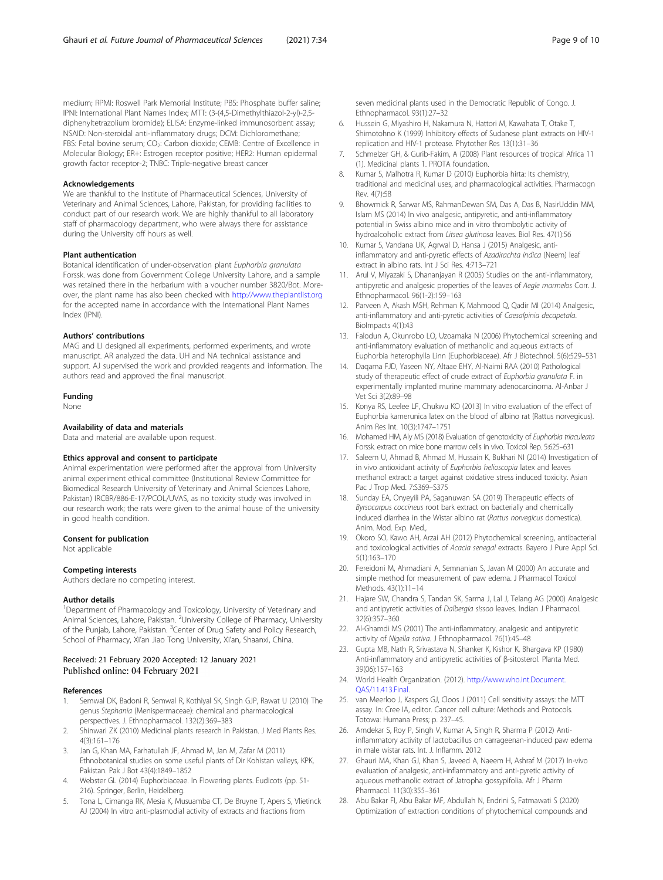<span id="page-8-0"></span>medium; RPMI: Roswell Park Memorial Institute; PBS: Phosphate buffer saline; IPNI: International Plant Names Index; MTT: (3-(4,5-Dimethylthiazol-2-yl)-2,5 diphenyltetrazolium bromide); ELISA: Enzyme-linked immunosorbent assay; NSAID: Non-steroidal anti-inflammatory drugs; DCM: Dichloromethane; FBS: Fetal bovine serum; CO<sub>2</sub>: Carbon dioxide; CEMB: Centre of Excellence in Molecular Biology; ER+: Estrogen receptor positive; HER2: Human epidermal growth factor receptor-2; TNBC: Triple-negative breast cancer

#### Acknowledgements

We are thankful to the Institute of Pharmaceutical Sciences, University of Veterinary and Animal Sciences, Lahore, Pakistan, for providing facilities to conduct part of our research work. We are highly thankful to all laboratory staff of pharmacology department, who were always there for assistance during the University off hours as well.

#### Plant authentication

Botanical identification of under-observation plant Euphorbia granulata Forssk. was done from Government College University Lahore, and a sample was retained there in the herbarium with a voucher number 3820/Bot. Moreover, the plant name has also been checked with <http://www.theplantlist.org> for the accepted name in accordance with the International Plant Names Index (IPNI).

#### Authors' contributions

MAG and LI designed all experiments, performed experiments, and wrote manuscript. AR analyzed the data. UH and NA technical assistance and support. AJ supervised the work and provided reagents and information. The authors read and approved the final manuscript.

#### Funding

None

#### Availability of data and materials

Data and material are available upon request.

#### Ethics approval and consent to participate

Animal experimentation were performed after the approval from University animal experiment ethical committee (Institutional Review Committee for Biomedical Research University of Veterinary and Animal Sciences Lahore, Pakistan) IRCBR/886-E-17/PCOL/UVAS, as no toxicity study was involved in our research work; the rats were given to the animal house of the university in good health condition.

#### Consent for publication

Not applicable

#### Competing interests

Authors declare no competing interest.

#### Author details

<sup>1</sup>Department of Pharmacology and Toxicology, University of Veterinary and Animal Sciences, Lahore, Pakistan. <sup>2</sup>University College of Pharmacy, University of the Punjab, Lahore, Pakistan. <sup>3</sup>Center of Drug Safety and Policy Research, School of Pharmacy, Xi'an Jiao Tong University, Xi'an, Shaanxi, China.

#### Received: 21 February 2020 Accepted: 12 January 2021 Published online: 04 February 2021

#### References

- 1. Semwal DK, Badoni R, Semwal R, Kothiyal SK, Singh GJP, Rawat U (2010) The genus Stephania (Menispermaceae): chemical and pharmacological perspectives. J. Ethnopharmacol. 132(2):369–383
- 2. Shinwari ZK (2010) Medicinal plants research in Pakistan. J Med Plants Res. 4(3):161–176
- 3. Jan G, Khan MA, Farhatullah JF, Ahmad M, Jan M, Zafar M (2011) Ethnobotanical studies on some useful plants of Dir Kohistan valleys, KPK, Pakistan. Pak J Bot 43(4):1849–1852
- Webster GL (2014) Euphorbiaceae. In Flowering plants. Eudicots (pp. 51-216). Springer, Berlin, Heidelberg.
- 5. Tona L, Cimanga RK, Mesia K, Musuamba CT, De Bruyne T, Apers S, Vlietinck AJ (2004) In vitro anti-plasmodial activity of extracts and fractions from

seven medicinal plants used in the Democratic Republic of Congo. J. Ethnopharmacol. 93(1):27–32

- 6. Hussein G, Miyashiro H, Nakamura N, Hattori M, Kawahata T, Otake T, Shimotohno K (1999) Inhibitory effects of Sudanese plant extracts on HIV-1 replication and HIV-1 protease. Phytother Res 13(1):31–36
- 7. Schmelzer GH, & Gurib-Fakim, A (2008) Plant resources of tropical Africa 11 (1). Medicinal plants 1. PROTA foundation.
- 8. Kumar S, Malhotra R, Kumar D (2010) Euphorbia hirta: Its chemistry, traditional and medicinal uses, and pharmacological activities. Pharmacogn Rev. 4(7):58
- 9. Bhowmick R, Sarwar MS, RahmanDewan SM, Das A, Das B, NasirUddin MM, Islam MS (2014) In vivo analgesic, antipyretic, and anti-inflammatory potential in Swiss albino mice and in vitro thrombolytic activity of hydroalcoholic extract from Litsea glutinosa leaves. Biol Res. 47(1):56
- 10. Kumar S, Vandana UK, Agrwal D, Hansa J (2015) Analgesic, antiinflammatory and anti-pyretic effects of Azadirachta indica (Neem) leaf extract in albino rats. Int J Sci Res. 4:713–721
- 11. Arul V, Miyazaki S, Dhananjayan R (2005) Studies on the anti-inflammatory, antipyretic and analgesic properties of the leaves of Aegle marmelos Corr. J. Ethnopharmacol. 96(1-2):159–163
- 12. Parveen A, Akash MSH, Rehman K, Mahmood Q, Qadir MI (2014) Analgesic, anti-inflammatory and anti-pyretic activities of Caesalpinia decapetala. BioImpacts 4(1):43
- 13. Falodun A, Okunrobo LO, Uzoamaka N (2006) Phytochemical screening and anti-inflammatory evaluation of methanolic and aqueous extracts of Euphorbia heterophylla Linn (Euphorbiaceae). Afr J Biotechnol. 5(6):529–531
- 14. Daqama FJD, Yaseen NY, Altaae EHY, Al-Naimi RAA (2010) Pathological study of therapeutic effect of crude extract of Euphorbia granulata F. in experimentally implanted murine mammary adenocarcinoma. Al-Anbar J Vet Sci 3(2):89–98
- 15. Konya RS, Leelee LF, Chukwu KO (2013) In vitro evaluation of the effect of Euphorbia kamerunica latex on the blood of albino rat (Rattus norvegicus). Anim Res Int. 10(3):1747–1751
- 16. Mohamed HM, Aly MS (2018) Evaluation of genotoxicity of Euphorbia triaculeata Forssk. extract on mice bone marrow cells in vivo. Toxicol Rep. 5:625–631
- 17. Saleem U, Ahmad B, Ahmad M, Hussain K, Bukhari NI (2014) Investigation of in vivo antioxidant activity of Euphorbia helioscopia latex and leaves methanol extract: a target against oxidative stress induced toxicity. Asian Pac J Trop Med. 7:S369–S375
- 18. Sunday EA, Onyeyili PA, Saganuwan SA (2019) Therapeutic effects of Byrsocarpus coccineus root bark extract on bacterially and chemically induced diarrhea in the Wistar albino rat (Rattus norvegicus domestica). Anim. Mod. Exp. Med.,
- 19. Okoro SO, Kawo AH, Arzai AH (2012) Phytochemical screening, antibacterial and toxicological activities of Acacia senegal extracts. Bayero J Pure Appl Sci. 5(1):163–170
- 20. Fereidoni M, Ahmadiani A, Semnanian S, Javan M (2000) An accurate and simple method for measurement of paw edema. J Pharmacol Toxicol Methods. 43(1):11–14
- 21. Hajare SW, Chandra S, Tandan SK, Sarma J, Lal J, Telang AG (2000) Analgesic and antipyretic activities of Dalbergia sissoo leaves. Indian J Pharmacol. 32(6):357–360
- 22. Al-Ghamdi MS (2001) The anti-inflammatory, analgesic and antipyretic activity of Nigella sativa. J Ethnopharmacol. 76(1):45–48
- 23. Gupta MB, Nath R, Srivastava N, Shanker K, Kishor K, Bhargava KP (1980) Anti-inflammatory and antipyretic activities of β-sitosterol. Planta Med. 39(06):157–163
- 24. World Health Organization. (2012). [http://www.who.int.Document.](http://www.who.int.document.qas/11.413.Final) [QAS/11.413.Final.](http://www.who.int.document.qas/11.413.Final)
- 25. van Meerloo J, Kaspers GJ, Cloos J (2011) Cell sensitivity assays: the MTT assay. In: Cree IA, editor. Cancer cell culture: Methods and Protocols. Totowa: Humana Press; p. 237–45.
- 26. Amdekar S, Roy P, Singh V, Kumar A, Singh R, Sharma P (2012) Antiinflammatory activity of lactobacillus on carrageenan-induced paw edema in male wistar rats. Int. J. Inflamm. 2012
- 27. Ghauri MA, Khan GJ, Khan S, Javeed A, Naeem H, Ashraf M (2017) In-vivo evaluation of analgesic, anti-inflammatory and anti-pyretic activity of aqueous methanolic extract of Jatropha gossypifolia. Afr J Pharm Pharmacol. 11(30):355–361
- 28. Abu Bakar FI, Abu Bakar MF, Abdullah N, Endrini S, Fatmawati S (2020) Optimization of extraction conditions of phytochemical compounds and